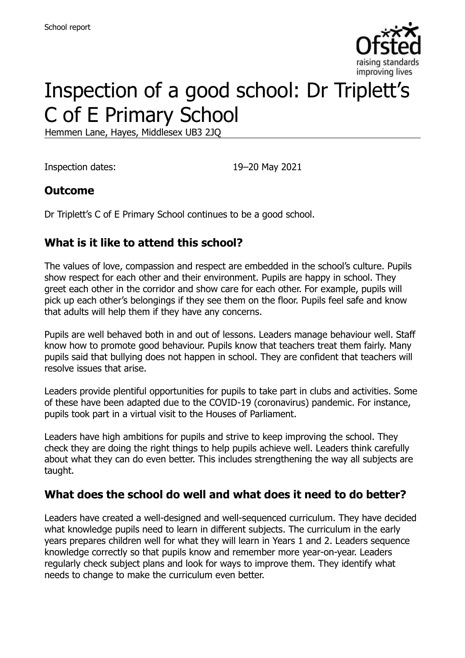

# Inspection of a good school: Dr Triplett's C of E Primary School

Hemmen Lane, Hayes, Middlesex UB3 2JQ

Inspection dates: 19–20 May 2021

### **Outcome**

Dr Triplett's C of E Primary School continues to be a good school.

### **What is it like to attend this school?**

The values of love, compassion and respect are embedded in the school's culture. Pupils show respect for each other and their environment. Pupils are happy in school. They greet each other in the corridor and show care for each other. For example, pupils will pick up each other's belongings if they see them on the floor. Pupils feel safe and know that adults will help them if they have any concerns.

Pupils are well behaved both in and out of lessons. Leaders manage behaviour well. Staff know how to promote good behaviour. Pupils know that teachers treat them fairly. Many pupils said that bullying does not happen in school. They are confident that teachers will resolve issues that arise.

Leaders provide plentiful opportunities for pupils to take part in clubs and activities. Some of these have been adapted due to the COVID-19 (coronavirus) pandemic. For instance, pupils took part in a virtual visit to the Houses of Parliament.

Leaders have high ambitions for pupils and strive to keep improving the school. They check they are doing the right things to help pupils achieve well. Leaders think carefully about what they can do even better. This includes strengthening the way all subjects are taught.

#### **What does the school do well and what does it need to do better?**

Leaders have created a well-designed and well-sequenced curriculum. They have decided what knowledge pupils need to learn in different subjects. The curriculum in the early years prepares children well for what they will learn in Years 1 and 2. Leaders sequence knowledge correctly so that pupils know and remember more year-on-year. Leaders regularly check subject plans and look for ways to improve them. They identify what needs to change to make the curriculum even better.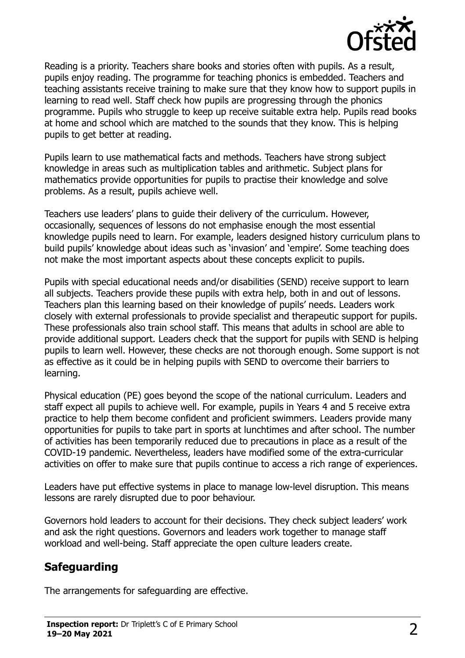

Reading is a priority. Teachers share books and stories often with pupils. As a result, pupils enjoy reading. The programme for teaching phonics is embedded. Teachers and teaching assistants receive training to make sure that they know how to support pupils in learning to read well. Staff check how pupils are progressing through the phonics programme. Pupils who struggle to keep up receive suitable extra help. Pupils read books at home and school which are matched to the sounds that they know. This is helping pupils to get better at reading.

Pupils learn to use mathematical facts and methods. Teachers have strong subject knowledge in areas such as multiplication tables and arithmetic. Subject plans for mathematics provide opportunities for pupils to practise their knowledge and solve problems. As a result, pupils achieve well.

Teachers use leaders' plans to guide their delivery of the curriculum. However, occasionally, sequences of lessons do not emphasise enough the most essential knowledge pupils need to learn. For example, leaders designed history curriculum plans to build pupils' knowledge about ideas such as 'invasion' and 'empire'. Some teaching does not make the most important aspects about these concepts explicit to pupils.

Pupils with special educational needs and/or disabilities (SEND) receive support to learn all subjects. Teachers provide these pupils with extra help, both in and out of lessons. Teachers plan this learning based on their knowledge of pupils' needs. Leaders work closely with external professionals to provide specialist and therapeutic support for pupils. These professionals also train school staff. This means that adults in school are able to provide additional support. Leaders check that the support for pupils with SEND is helping pupils to learn well. However, these checks are not thorough enough. Some support is not as effective as it could be in helping pupils with SEND to overcome their barriers to learning.

Physical education (PE) goes beyond the scope of the national curriculum. Leaders and staff expect all pupils to achieve well. For example, pupils in Years 4 and 5 receive extra practice to help them become confident and proficient swimmers. Leaders provide many opportunities for pupils to take part in sports at lunchtimes and after school. The number of activities has been temporarily reduced due to precautions in place as a result of the COVID-19 pandemic. Nevertheless, leaders have modified some of the extra-curricular activities on offer to make sure that pupils continue to access a rich range of experiences.

Leaders have put effective systems in place to manage low-level disruption. This means lessons are rarely disrupted due to poor behaviour.

Governors hold leaders to account for their decisions. They check subject leaders' work and ask the right questions. Governors and leaders work together to manage staff workload and well-being. Staff appreciate the open culture leaders create.

#### **Safeguarding**

The arrangements for safeguarding are effective.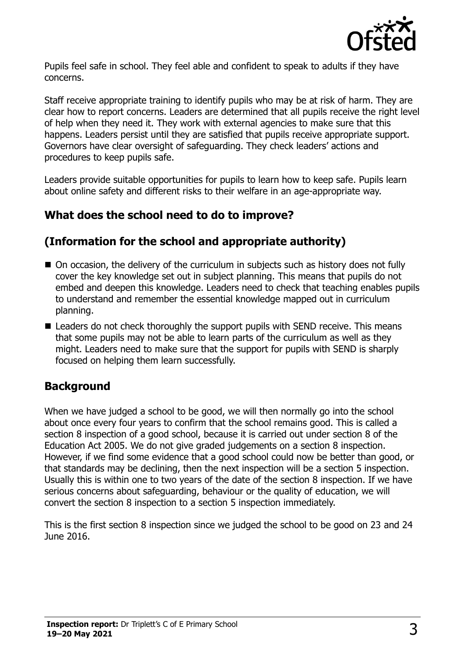

Pupils feel safe in school. They feel able and confident to speak to adults if they have concerns.

Staff receive appropriate training to identify pupils who may be at risk of harm. They are clear how to report concerns. Leaders are determined that all pupils receive the right level of help when they need it. They work with external agencies to make sure that this happens. Leaders persist until they are satisfied that pupils receive appropriate support. Governors have clear oversight of safeguarding. They check leaders' actions and procedures to keep pupils safe.

Leaders provide suitable opportunities for pupils to learn how to keep safe. Pupils learn about online safety and different risks to their welfare in an age-appropriate way.

## **What does the school need to do to improve?**

## **(Information for the school and appropriate authority)**

- On occasion, the delivery of the curriculum in subjects such as history does not fully cover the key knowledge set out in subject planning. This means that pupils do not embed and deepen this knowledge. Leaders need to check that teaching enables pupils to understand and remember the essential knowledge mapped out in curriculum planning.
- Leaders do not check thoroughly the support pupils with SEND receive. This means that some pupils may not be able to learn parts of the curriculum as well as they might. Leaders need to make sure that the support for pupils with SEND is sharply focused on helping them learn successfully.

## **Background**

When we have judged a school to be good, we will then normally go into the school about once every four years to confirm that the school remains good. This is called a section 8 inspection of a good school, because it is carried out under section 8 of the Education Act 2005. We do not give graded judgements on a section 8 inspection. However, if we find some evidence that a good school could now be better than good, or that standards may be declining, then the next inspection will be a section 5 inspection. Usually this is within one to two years of the date of the section 8 inspection. If we have serious concerns about safeguarding, behaviour or the quality of education, we will convert the section 8 inspection to a section 5 inspection immediately.

This is the first section 8 inspection since we judged the school to be good on 23 and 24 June 2016.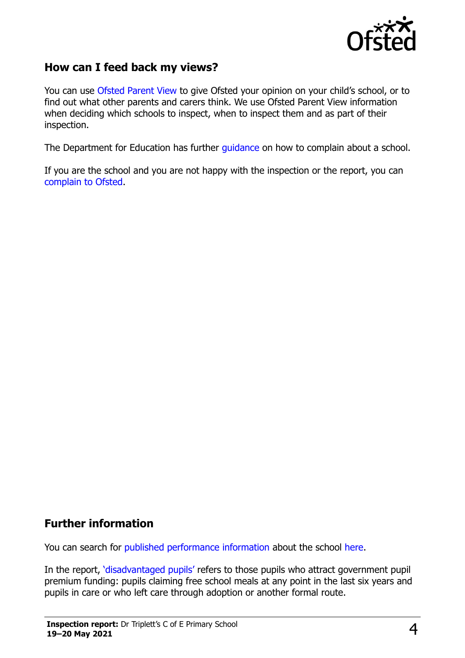

#### **How can I feed back my views?**

You can use [Ofsted Parent View](https://parentview.ofsted.gov.uk/) to give Ofsted your opinion on your child's school, or to find out what other parents and carers think. We use Ofsted Parent View information when deciding which schools to inspect, when to inspect them and as part of their inspection.

The Department for Education has further [guidance](http://www.gov.uk/complain-about-school) on how to complain about a school.

If you are the school and you are not happy with the inspection or the report, you can [complain to Ofsted.](https://www.gov.uk/complain-ofsted-report)

#### **Further information**

You can search for [published performance information](http://www.compare-school-performance.service.gov.uk/) about the school [here.](http://www.compare-school-performance.service.gov.uk/)

In the report, '[disadvantaged pupils](http://www.gov.uk/guidance/pupil-premium-information-for-schools-and-alternative-provision-settings)' refers to those pupils who attract government pupil premium funding: pupils claiming free school meals at any point in the last six years and pupils in care or who left care through adoption or another formal route.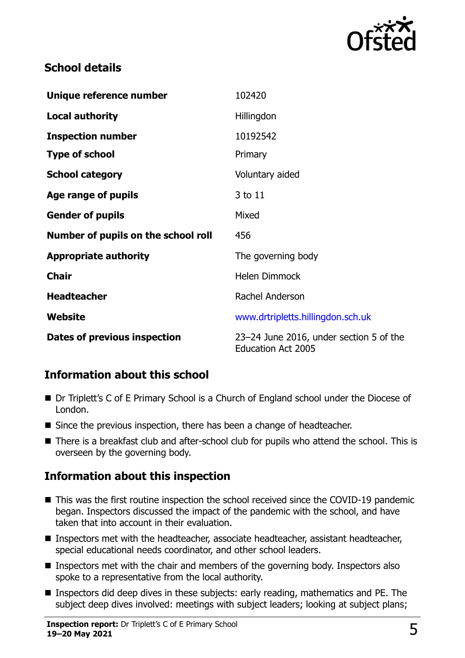

## **School details**

| Unique reference number             | 102420                                                               |
|-------------------------------------|----------------------------------------------------------------------|
| <b>Local authority</b>              | Hillingdon                                                           |
| <b>Inspection number</b>            | 10192542                                                             |
| <b>Type of school</b>               | Primary                                                              |
| <b>School category</b>              | Voluntary aided                                                      |
| Age range of pupils                 | 3 to 11                                                              |
| <b>Gender of pupils</b>             | Mixed                                                                |
| Number of pupils on the school roll | 456                                                                  |
| <b>Appropriate authority</b>        | The governing body                                                   |
| <b>Chair</b>                        | <b>Helen Dimmock</b>                                                 |
| <b>Headteacher</b>                  | Rachel Anderson                                                      |
| Website                             | www.drtripletts.hillingdon.sch.uk                                    |
| Dates of previous inspection        | 23-24 June 2016, under section 5 of the<br><b>Education Act 2005</b> |

## **Information about this school**

- Dr Triplett's C of E Primary School is a Church of England school under the Diocese of London.
- Since the previous inspection, there has been a change of headteacher.
- There is a breakfast club and after-school club for pupils who attend the school. This is overseen by the governing body.

## **Information about this inspection**

- This was the first routine inspection the school received since the COVID-19 pandemic began. Inspectors discussed the impact of the pandemic with the school, and have taken that into account in their evaluation.
- Inspectors met with the headteacher, associate headteacher, assistant headteacher, special educational needs coordinator, and other school leaders.
- **Inspectors met with the chair and members of the governing body. Inspectors also** spoke to a representative from the local authority.
- Inspectors did deep dives in these subjects: early reading, mathematics and PE. The subject deep dives involved: meetings with subject leaders; looking at subject plans;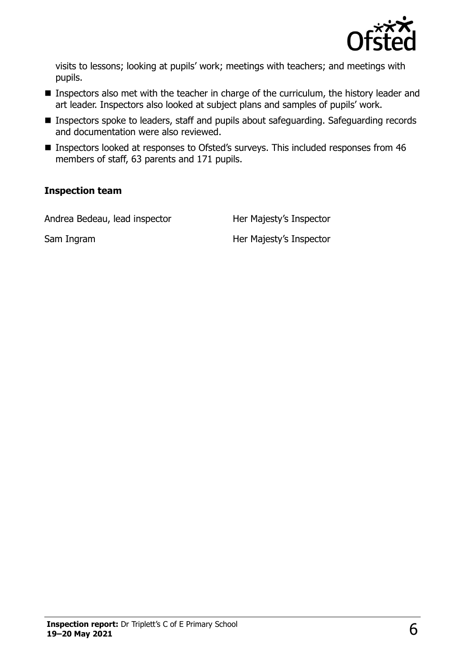

visits to lessons; looking at pupils' work; meetings with teachers; and meetings with pupils.

- **Inspectors also met with the teacher in charge of the curriculum, the history leader and** art leader. Inspectors also looked at subject plans and samples of pupils' work.
- Inspectors spoke to leaders, staff and pupils about safeguarding. Safeguarding records and documentation were also reviewed.
- Inspectors looked at responses to Ofsted's surveys. This included responses from 46 members of staff, 63 parents and 171 pupils.

#### **Inspection team**

Andrea Bedeau, lead inspector Her Majesty's Inspector

Sam Ingram **Her Majesty's Inspector**